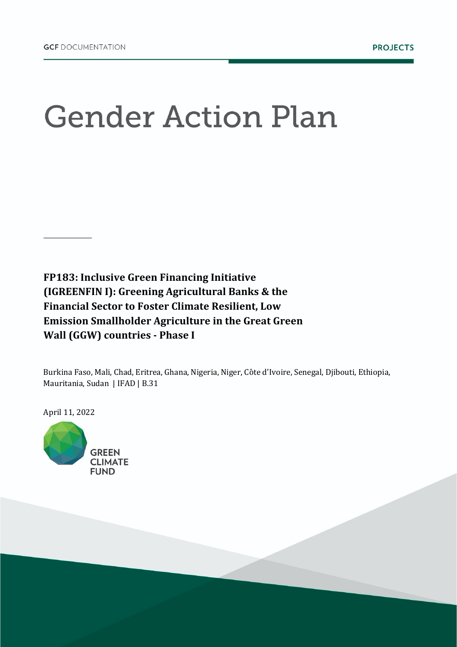## **Gender Action Plan**

**FP183: Inclusive Green Financing Initiative (IGREENFIN I): Greening Agricultural Banks & the Financial Sector to Foster Climate Resilient, Low Emission Smallholder Agriculture in the Great Green Wall (GGW) countries - Phase I** 

Burkina Faso, Mali, Chad, Eritrea, Ghana, Nigeria, Niger, Côte d'Ivoire, Senegal, Djibouti, Ethiopia, Mauritania, Sudan | IFAD | B.31

April 11, 2022

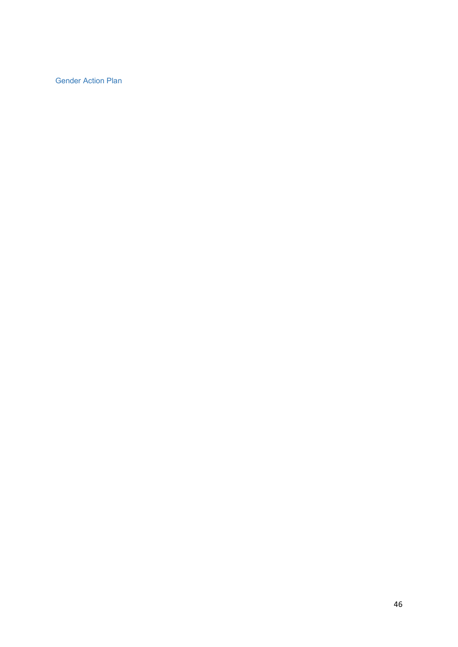Gender Action Plan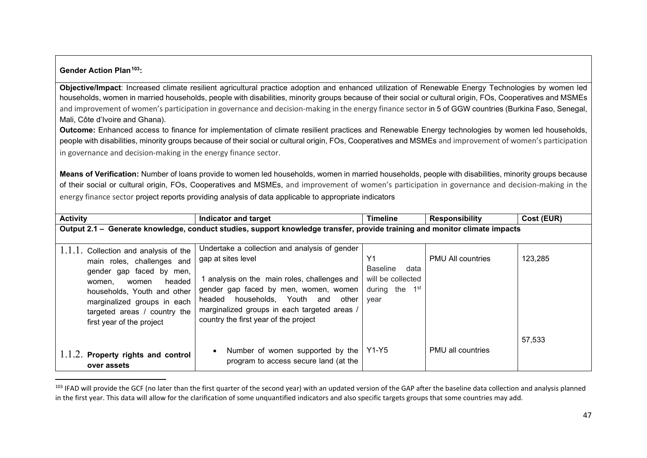## **Gender Action Plan[103:](#page--1-0)**

**Objective/Impact**: Increased climate resilient agricultural practice adoption and enhanced utilization of Renewable Energy Technologies by women led households, women in married households, people with disabilities, minority groups because of their social or cultural origin, FOs, Cooperatives and MSMEs and improvement of women's participation in governance and decision-making in the energy finance sector in 5 of GGW countries (Burkina Faso, Senegal, Mali, Côte d'Ivoire and Ghana).

**Outcome:** Enhanced access to finance for implementation of climate resilient practices and Renewable Energy technologies by women led households, people with disabilities, minority groups because of their social or cultural origin, FOs, Cooperatives and MSMEs and improvement of women's participation in governance and decision-making in the energy finance sector.

**Means of Verification:** Number of loans provide to women led households, women in married households, people with disabilities, minority groups because of their social or cultural origin, FOs, Cooperatives and MSMEs, and improvement of women's participation in governance and decision-making in the energy finance sector project reports providing analysis of data applicable to appropriate indicators

| <b>Activity</b>                                                                                                                                                                                                                                           | Indicator and target                                                                                                                                                                                                                                                                           | <b>Timeline</b>                                                                             | <b>Responsibility</b>    | Cost (EUR) |  |
|-----------------------------------------------------------------------------------------------------------------------------------------------------------------------------------------------------------------------------------------------------------|------------------------------------------------------------------------------------------------------------------------------------------------------------------------------------------------------------------------------------------------------------------------------------------------|---------------------------------------------------------------------------------------------|--------------------------|------------|--|
| Output 2.1 - Generate knowledge, conduct studies, support knowledge transfer, provide training and monitor climate impacts                                                                                                                                |                                                                                                                                                                                                                                                                                                |                                                                                             |                          |            |  |
| $1.1.1.$ Collection and analysis of the<br>main roles, challenges and<br>gender gap faced by men,<br>headed<br>women<br>women.<br>households, Youth and other<br>marginalized groups in each<br>targeted areas / country the<br>first year of the project | Undertake a collection and analysis of gender<br>gap at sites level<br>1 analysis on the main roles, challenges and<br>gender gap faced by men, women, women<br>headed households, Youth and<br>other<br>marginalized groups in each targeted areas /<br>country the first year of the project | Y <sub>1</sub><br><b>Baseline</b><br>data<br>will be collected<br>during the<br>1st<br>year | <b>PMU All countries</b> | 123,285    |  |
| $1.1.2$ . Property rights and control<br>over assets                                                                                                                                                                                                      | Number of women supported by the<br>program to access secure land (at the                                                                                                                                                                                                                      | Y1-Y5                                                                                       | <b>PMU all countries</b> | 57,533     |  |

<sup>103</sup> IFAD will provide the GCF (no later than the first quarter of the second year) with an updated version of the GAP after the baseline data collection and analysis planned in the first year. This data will allow for the clarification of some unquantified indicators and also specific targets groups that some countries may add.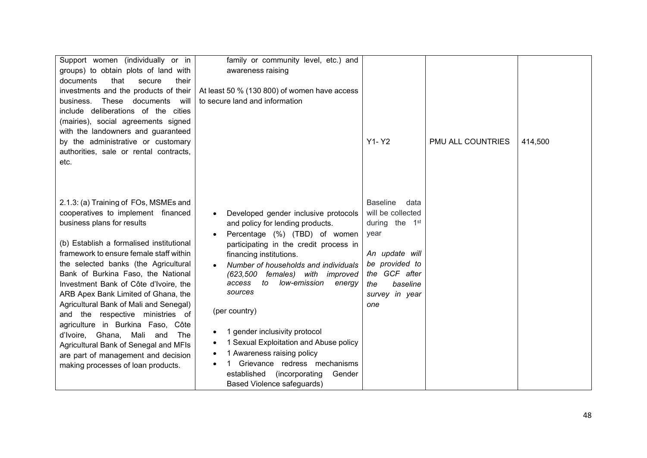| Support women (individually or in        | family or community level, etc.) and                                       |                            |                   |         |
|------------------------------------------|----------------------------------------------------------------------------|----------------------------|-------------------|---------|
| groups) to obtain plots of land with     | awareness raising                                                          |                            |                   |         |
| documents<br>that<br>secure<br>their     |                                                                            |                            |                   |         |
| investments and the products of their    | At least 50 % (130 800) of women have access                               |                            |                   |         |
| These<br>will<br>business.<br>documents  | to secure land and information                                             |                            |                   |         |
| include deliberations of the cities      |                                                                            |                            |                   |         |
| (mairies), social agreements signed      |                                                                            |                            |                   |         |
| with the landowners and guaranteed       |                                                                            |                            |                   |         |
| by the administrative or customary       |                                                                            | Y1-Y2                      | PMU ALL COUNTRIES | 414,500 |
| authorities, sale or rental contracts,   |                                                                            |                            |                   |         |
| etc.                                     |                                                                            |                            |                   |         |
|                                          |                                                                            |                            |                   |         |
|                                          |                                                                            |                            |                   |         |
|                                          |                                                                            |                            |                   |         |
| 2.1.3: (a) Training of FOs, MSMEs and    |                                                                            | <b>Baseline</b><br>data    |                   |         |
| cooperatives to implement financed       | Developed gender inclusive protocols                                       | will be collected          |                   |         |
| business plans for results               | and policy for lending products.                                           | during the 1 <sup>st</sup> |                   |         |
| (b) Establish a formalised institutional | Percentage (%) (TBD) of women                                              | year                       |                   |         |
| framework to ensure female staff within  | participating in the credit process in                                     | An update will             |                   |         |
| the selected banks (the Agricultural     | financing institutions.                                                    | be provided to             |                   |         |
| Bank of Burkina Faso, the National       | Number of households and individuals<br>with improved<br>(623,500 females) | the GCF after              |                   |         |
| Investment Bank of Côte d'Ivoire, the    | low-emission<br>access<br>to<br>energy                                     | baseline<br>the            |                   |         |
| ARB Apex Bank Limited of Ghana, the      | sources                                                                    | survey in year             |                   |         |
| Agricultural Bank of Mali and Senegal)   |                                                                            | one                        |                   |         |
| and the respective ministries of         | (per country)                                                              |                            |                   |         |
| agriculture in Burkina Faso, Côte        |                                                                            |                            |                   |         |
| d'Ivoire, Ghana, Mali and<br>The         | gender inclusivity protocol                                                |                            |                   |         |
| Agricultural Bank of Senegal and MFIs    | 1 Sexual Exploitation and Abuse policy                                     |                            |                   |         |
| are part of management and decision      | 1 Awareness raising policy                                                 |                            |                   |         |
| making processes of loan products.       | Grievance redress mechanisms                                               |                            |                   |         |
|                                          | established<br>(incorporating)<br>Gender                                   |                            |                   |         |
|                                          | <b>Based Violence safeguards)</b>                                          |                            |                   |         |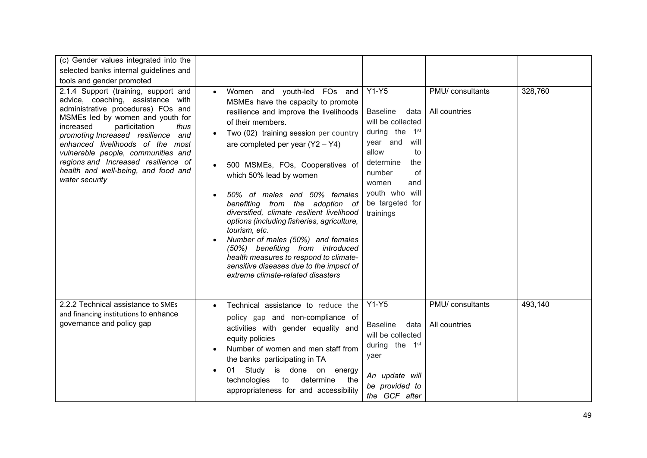| (c) Gender values integrated into the                                                                                                                                                                                                                                                                                                                                                                        |                                                                                                                                                                                                                                                                                                                                                                                                                                                                                                                                                                                                                                                                              |                                                                                                                                                                                                                                   |                                   |         |
|--------------------------------------------------------------------------------------------------------------------------------------------------------------------------------------------------------------------------------------------------------------------------------------------------------------------------------------------------------------------------------------------------------------|------------------------------------------------------------------------------------------------------------------------------------------------------------------------------------------------------------------------------------------------------------------------------------------------------------------------------------------------------------------------------------------------------------------------------------------------------------------------------------------------------------------------------------------------------------------------------------------------------------------------------------------------------------------------------|-----------------------------------------------------------------------------------------------------------------------------------------------------------------------------------------------------------------------------------|-----------------------------------|---------|
| selected banks internal guidelines and                                                                                                                                                                                                                                                                                                                                                                       |                                                                                                                                                                                                                                                                                                                                                                                                                                                                                                                                                                                                                                                                              |                                                                                                                                                                                                                                   |                                   |         |
| tools and gender promoted                                                                                                                                                                                                                                                                                                                                                                                    |                                                                                                                                                                                                                                                                                                                                                                                                                                                                                                                                                                                                                                                                              |                                                                                                                                                                                                                                   |                                   |         |
| 2.1.4 Support (training, support and<br>advice, coaching, assistance with<br>administrative procedures) FOs and<br>MSMEs led by women and youth for<br>particitation<br>increased<br>thus<br>promoting Increased resilience<br>and<br>enhanced livelihoods of the most<br>vulnerable people, communities and<br>regions and Increased resilience of<br>health and well-being, and food and<br>water security | Women and youth-led FOs and<br>$\bullet$<br>MSMEs have the capacity to promote<br>resilience and improve the livelihoods<br>of their members.<br>Two (02) training session per country<br>are completed per year $(Y2 - Y4)$<br>500 MSMEs, FOs, Cooperatives of<br>which 50% lead by women<br>50% of males and 50% females<br>benefiting from the adoption of<br>diversified, climate resilient livelihood<br>options (including fisheries, agriculture,<br>tourism, etc.<br>Number of males (50%) and females<br>(50%) benefiting from introduced<br>health measures to respond to climate-<br>sensitive diseases due to the impact of<br>extreme climate-related disasters | $Y1-Y5$<br><b>Baseline</b><br>data<br>will be collected<br>1 <sup>st</sup><br>during the<br>year and<br>will<br>allow<br>to<br>determine<br>the<br>of<br>number<br>women<br>and<br>youth who will<br>be targeted for<br>trainings | PMU/ consultants<br>All countries | 328,760 |
| 2.2.2 Technical assistance to SMEs<br>and financing institutions to enhance<br>governance and policy gap                                                                                                                                                                                                                                                                                                     | Technical assistance to reduce the<br>policy gap and non-compliance of<br>activities with gender equality and<br>equity policies<br>Number of women and men staff from<br>the banks participating in TA<br>Study is done on energy<br>01<br>technologies<br>determine<br>to<br>the<br>appropriateness for and accessibility                                                                                                                                                                                                                                                                                                                                                  | $Y1-Y5$<br><b>Baseline</b><br>data<br>will be collected<br>during the 1st<br>yaer<br>An update will<br>be provided to<br>the GCF after                                                                                            | PMU/ consultants<br>All countries | 493,140 |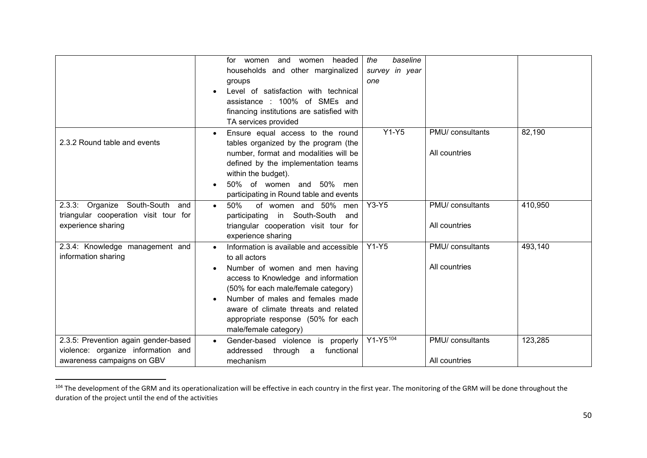|                                                                                                          | headed<br>women and<br>women<br>for<br>households and other marginalized<br>groups<br>Level of satisfaction with technical<br>assistance: 100% of SMEs and<br>financing institutions are satisfied with<br>TA services provided                                                                                     | baseline<br>the<br>survey in year<br>one |                                   |         |
|----------------------------------------------------------------------------------------------------------|---------------------------------------------------------------------------------------------------------------------------------------------------------------------------------------------------------------------------------------------------------------------------------------------------------------------|------------------------------------------|-----------------------------------|---------|
| 2.3.2 Round table and events                                                                             | Ensure equal access to the round<br>tables organized by the program (the<br>number, format and modalities will be<br>defined by the implementation teams<br>within the budget).<br>50% of women and 50% men<br>participating in Round table and events                                                              | $Y1-Y5$                                  | PMU/ consultants<br>All countries | 82,190  |
| 2.3.3: Organize South-South<br>and<br>triangular cooperation visit tour for<br>experience sharing        | 50%<br>of women and 50% men<br>$\bullet$<br>participating in South-South<br>and<br>triangular cooperation visit tour for<br>experience sharing                                                                                                                                                                      | $Y3-Y5$                                  | PMU/ consultants<br>All countries | 410,950 |
| 2.3.4: Knowledge management and<br>information sharing                                                   | Information is available and accessible<br>to all actors<br>Number of women and men having<br>access to Knowledge and information<br>(50% for each male/female category)<br>Number of males and females made<br>aware of climate threats and related<br>appropriate response (50% for each<br>male/female category) | $Y1-Y5$                                  | PMU/ consultants<br>All countries | 493,140 |
| 2.3.5: Prevention again gender-based<br>violence: organize information and<br>awareness campaigns on GBV | Gender-based violence is properly<br>$\bullet$<br>addressed<br>through a<br>functional<br>mechanism                                                                                                                                                                                                                 | $Y1 - Y5^{104}$                          | PMU/ consultants<br>All countries | 123,285 |

<sup>104</sup> The development of the GRM and its operationalization will be effective in each country in the first year. The monitoring of the GRM will be done throughout the duration of the project until the end of the activities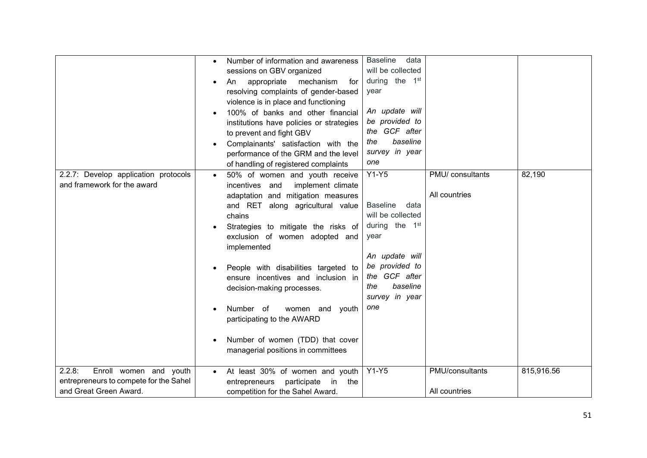| 2.2.7: Develop application protocols<br>and framework for the award                                  | Number of information and awareness<br>sessions on GBV organized<br>appropriate<br>mechanism<br>An<br>for<br>resolving complaints of gender-based<br>violence is in place and functioning<br>100% of banks and other financial<br>institutions have policies or strategies<br>to prevent and fight GBV<br>Complainants' satisfaction with the<br>performance of the GRM and the level<br>of handling of registered complaints<br>50% of women and youth receive<br>$\bullet$<br>incentives and<br>implement climate<br>adaptation and mitigation measures<br>and RET along agricultural value<br>chains<br>Strategies to mitigate the risks of<br>exclusion of women adopted and<br>implemented<br>People with disabilities targeted to<br>ensure incentives and inclusion in<br>decision-making processes.<br>Number of<br>women and<br>youth<br>participating to the AWARD<br>Number of women (TDD) that cover<br>managerial positions in committees | <b>Baseline</b><br>data<br>will be collected<br>during the 1 <sup>st</sup><br>year<br>An update will<br>be provided to<br>the GCF after<br>baseline<br>the<br>survey in year<br>one<br>$Y1-Y5$<br><b>Baseline</b><br>data<br>will be collected<br>during the 1 <sup>st</sup><br>year<br>An update will<br>be provided to<br>the GCF after<br>baseline<br>the<br>survey in year<br>one | PMU/ consultants<br>All countries | 82,190     |
|------------------------------------------------------------------------------------------------------|--------------------------------------------------------------------------------------------------------------------------------------------------------------------------------------------------------------------------------------------------------------------------------------------------------------------------------------------------------------------------------------------------------------------------------------------------------------------------------------------------------------------------------------------------------------------------------------------------------------------------------------------------------------------------------------------------------------------------------------------------------------------------------------------------------------------------------------------------------------------------------------------------------------------------------------------------------|---------------------------------------------------------------------------------------------------------------------------------------------------------------------------------------------------------------------------------------------------------------------------------------------------------------------------------------------------------------------------------------|-----------------------------------|------------|
|                                                                                                      |                                                                                                                                                                                                                                                                                                                                                                                                                                                                                                                                                                                                                                                                                                                                                                                                                                                                                                                                                        |                                                                                                                                                                                                                                                                                                                                                                                       |                                   |            |
| 2.2.8:<br>Enroll women and youth<br>entrepreneurs to compete for the Sahel<br>and Great Green Award. | At least 30% of women and youth<br>$\bullet$<br>entrepreneurs<br>participate<br>in<br>the<br>competition for the Sahel Award.                                                                                                                                                                                                                                                                                                                                                                                                                                                                                                                                                                                                                                                                                                                                                                                                                          | $Y1-Y5$                                                                                                                                                                                                                                                                                                                                                                               | PMU/consultants<br>All countries  | 815,916.56 |